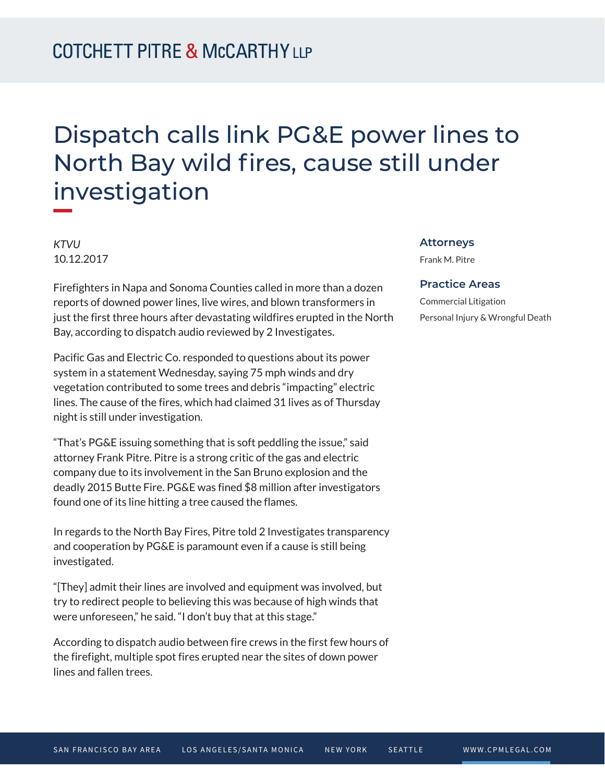## Dispatch calls link PG&E power lines to North Bay wild fires, cause still under investigation

*KTVU* 10.12.2017

Firefighters in Napa and Sonoma Counties called in more than a dozen reports of downed power lines, live wires, and blown transformers in just the first three hours after devastating wildfires erupted in the North Bay, according to dispatch audio reviewed by 2 Investigates.

Pacific Gas and Electric Co. responded to questions about its power system in a statement Wednesday, saying 75 mph winds and dry vegetation contributed to some trees and debris "impacting" electric lines. The cause of the fires, which had claimed 31 lives as of Thursday night is still under investigation.

"That's PG&E issuing something that is soft peddling the issue," said attorney Frank Pitre. Pitre is a strong critic of the gas and electric company due to its involvement in the San Bruno explosion and the deadly 2015 Butte Fire. PG&E was fined \$8 million after investigators found one of its line hitting a tree caused the flames.

In regards to the North Bay Fires, Pitre told 2 Investigates transparency and cooperation by PG&E is paramount even if a cause is still being investigated.

"[They] admit their lines are involved and equipment was involved, but try to redirect people to believing this was because of high winds that were unforeseen," he said. "I don't buy that at this stage."

According to dispatch audio between fire crews in the first few hours of the firefight, multiple spot fires erupted near the sites of down power lines and fallen trees.

## **Attorneys**

Frank M. Pitre

## **Practice Areas**

Commercial Litigation Personal Injury & Wrongful Death